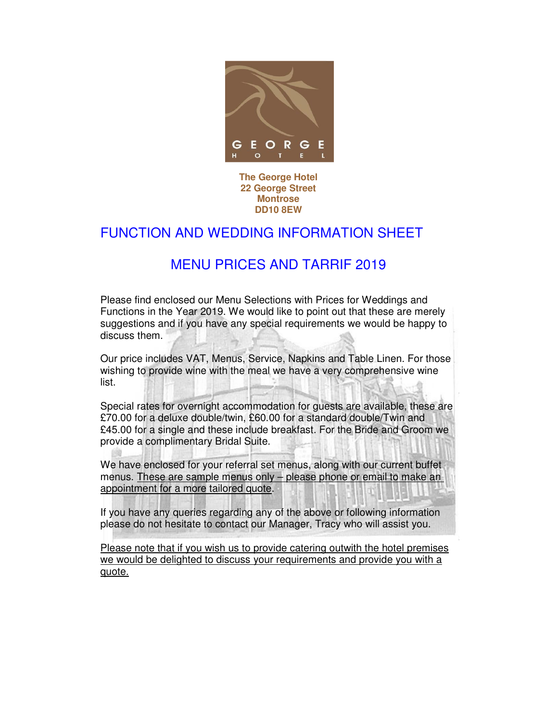

**The George Hotel 22 George Street Montrose DD10 8EW**

## FUNCTION AND WEDDING INFORMATION SHEET

## MENU PRICES AND TARRIF 2019

Please find enclosed our Menu Selections with Prices for Weddings and Functions in the Year 2019. We would like to point out that these are merely suggestions and if you have any special requirements we would be happy to discuss them.

Our price includes VAT, Menus, Service, Napkins and Table Linen. For those wishing to provide wine with the meal we have a very comprehensive wine list.

Special rates for overnight accommodation for guests are available, these are £70.00 for a deluxe double/twin, £60.00 for a standard double/Twin and £45.00 for a single and these include breakfast. For the Bride and Groom we provide a complimentary Bridal Suite.

We have enclosed for your referral set menus, along with our current buffet menus. These are sample menus only – please phone or email to make an appointment for a more tailored quote.

If you have any queries regarding any of the above or following information please do not hesitate to contact our Manager, Tracy who will assist you.

Please note that if you wish us to provide catering outwith the hotel premises we would be delighted to discuss your requirements and provide you with a quote.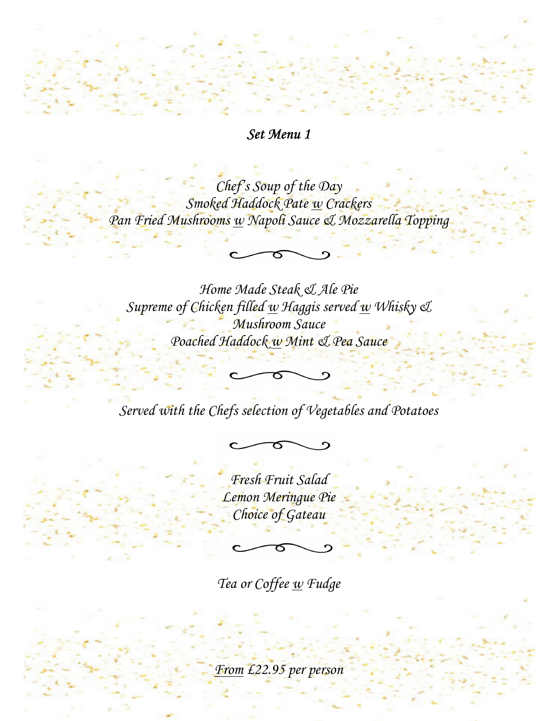# Set Menu 1

Chef's Soup of the Day Smoked Haddock Pate w Crackers Pan Fried Mushrooms w Napoli Sauce & Mozzarella Topping

Home Made Steak & Ale Pie Supreme of Chicken filled  $\underline{w}$  Haggis served  $\underline{w}$  Whisky  $\mathfrak{C}$ Mushroom Sauce Poached Haddock w Mint & Pea Sauce

Served with the Chefs selection of Vegetables and Potatoes

Fresh Fruit Salad Lemon Meringue Pie Choice of Gateau

j

Tea or Coffee w Fudge

From £22.95 per person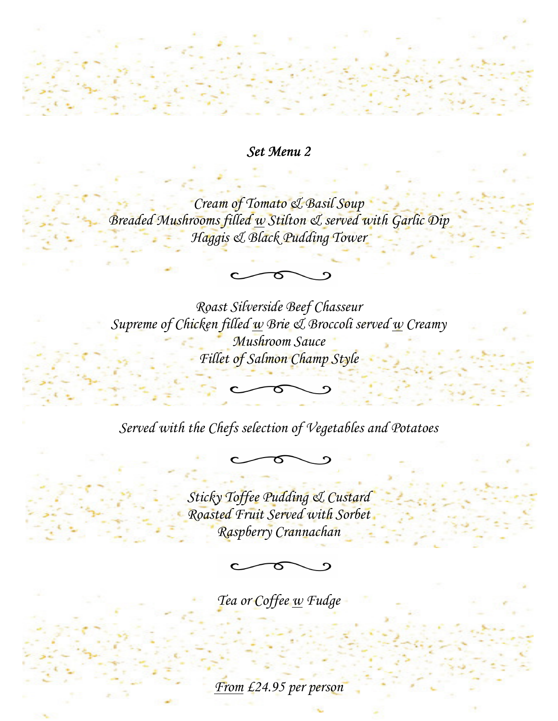### Set Menu 2

Cream of Tomato & Basil Soup Breaded Mushrooms filled w Stilton & served with Garlic Dip Haggis & Black Pudding Tower

Roast Silverside Beef Chasseur Supreme of Chicken filled  $\underline{w}$  Brie & Broccoli served  $\underline{w}$  Creamy Mushroom Sauce Fillet of Salmon Champ Style

Served with the Chefs selection of Vegetables and Potatoes

Sticky Toffee Pudding & Custard Roasted Fruit Served with Sorbet Raspberry Crannachan

Tea or Coffee <u>w</u> Fudge

From £24.95 per person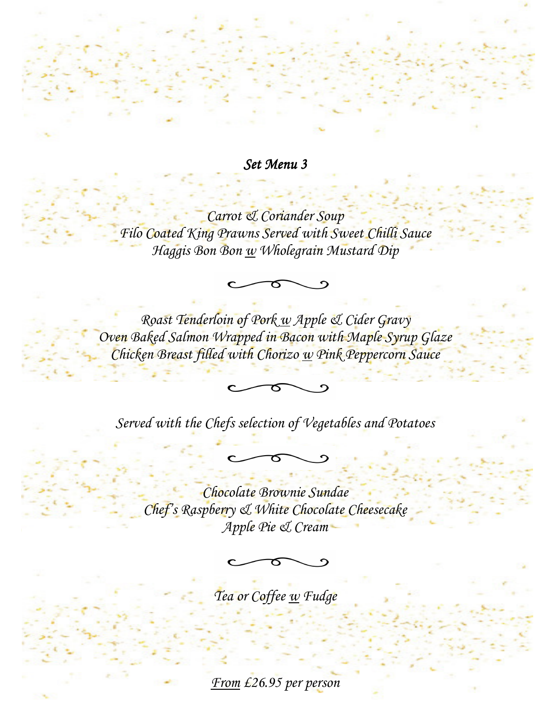Set Menu 3

Carrot & Coriander Soup Filo Coated King Prawns Served with Sweet Chilli Sauce Haggis Bon Bon w Wholegrain Mustard Dip

ర

Roast Tenderloin of Pork w Apple & Cider Gravy Oven Baked Salmon Wrapped in Bacon with Maple Syrup Glaze Chicken Breast filled with Chorizo w Pink Peppercorn Sauce

Served with the Chefs selection of Vegetables and Potatoes

Chocolate Brownie Sundae Chef's Raspberry & White Chocolate Cheesecake Apple Pie & Cream

Tea or Coffee w Fudge

From £26.95 per person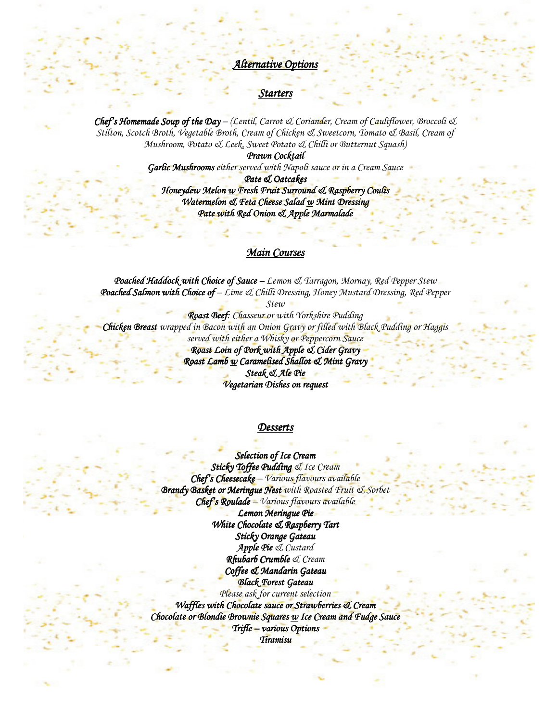### Alternative Options

#### Starter

**Chef's Homemade Soup of the Day** – (Lentil, Carrot & Coriander, Cream of Cauliflower, Broccoli & Stilton, Scotch Broth, Vegetable Broth, Cream of Chicken & Sweetcorn, Tomato & Basil, Cream of Mushroom, Potato & Leek, Sweet Potato & Chilli or Butternut Squash)

> Prawn Cocktail Garlic Mushrooms either served with Napoli sauce or in a Cream Sauce

> > Pate & Oatcakes

Honeydew Melon w Fresh Fruit Surround & Raspberry Coulis Watermelon & Feta Cheese Salad w Mint Dressing Pate with Red Onion & Apple Marmalade

### Main Courses

Poached Haddock with Choice of Sauce - Lemon & Tarragon, Mornay, Red Pepper Stew Poached Salmon with Choice of – Lime & Chilli Dressing, Honey Mustard Dressing, Red Pepper

Stew

Roast Beef: Chasseur or with Yorkshire Pudding Chicken Breast wrapped in Bacon with an Onion Gravy or filled with Black Pudding or Haggis served with either a Whisky or Peppercorn Sauce Roast Loin of Pork with Apple & Cider Gravy Roas<del>t Lam</del>b <u>w</u> Caramelised Shallot & Mint Gravy Steak & Ale Pie Vegetarian Dishes on request

#### **Desserts**

Selection of Ice Cream Sticky Toffee Pudding & Ice Cream  $Chefs Cheesecake - Various flavours available$ Brandy Basket or Meringue Nest with Roasted Fruit & Sorbet  $Chef's \t\textit{Roulade} - \textit{Various} \textit{flavours available}$ Lemon Meringue Pie

White Chocolate & Raspberry Tart Sticky Orange Gateau Apple Pie & Custard  $R$ hubarb Crumble  $\mathcal Q$  Cream Coffee & Mandarin Gateau Black Forest Gateau Please ask for current selection Waffles with Chocolate sauce or Strawberries & Cream

 $Chocolate$  or Blondie Brownie Squares  $w$  Ice Cream and Fudge Sauce Trifle – various Options

Tiramisu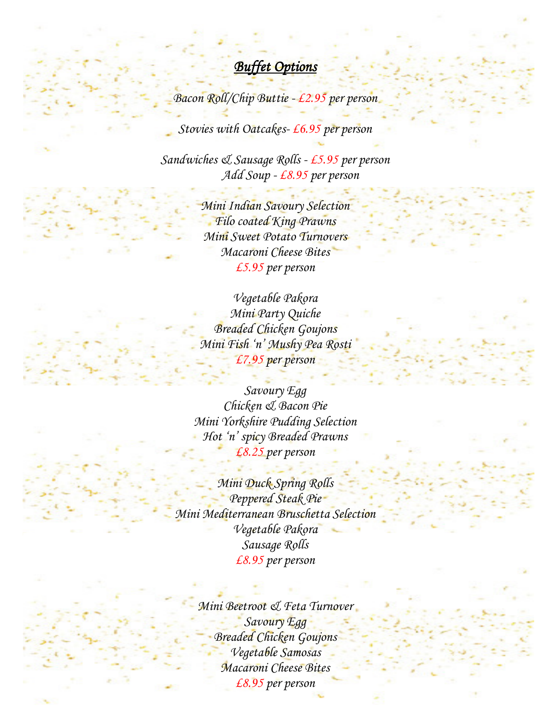# Buffet Options

Bacon Roll/Chip Buttie - £2.95 per person

Stovies with Oatcakes-£6.95 per person

Sandwiches & Sausage Rolls - £5.95 per person Add Soup - £8.95 per person

> Mini Indian Savoury Selection Filo coated King Prawns Mini Sweet Potato Turnovers Macaroni Cheese Bites £5.95 per person

Vegetable Pakora Mini Party Quiche Breaded Chicken Goujons Mini Fish 'n' Mushy Pea Rosti £7.95 per person

Savoury Egg Chicken & Bacon Pie Mini Yorkshire Pudding Selection Hot 'n' spicy Breaded Prawns £8.25 per person

Mini Duck Spring Rolls Peppered Steak Pie-Mini Mediterranean Bruschetta Selection Vegetable Pakora Sausage Rolls £8.95 per person

> Mini Beetroot & Feta Turnover Savoury Egg Breaded Chicken Goujons Vegetable Samosas Macaroni Cheese Bites £8.95 per person